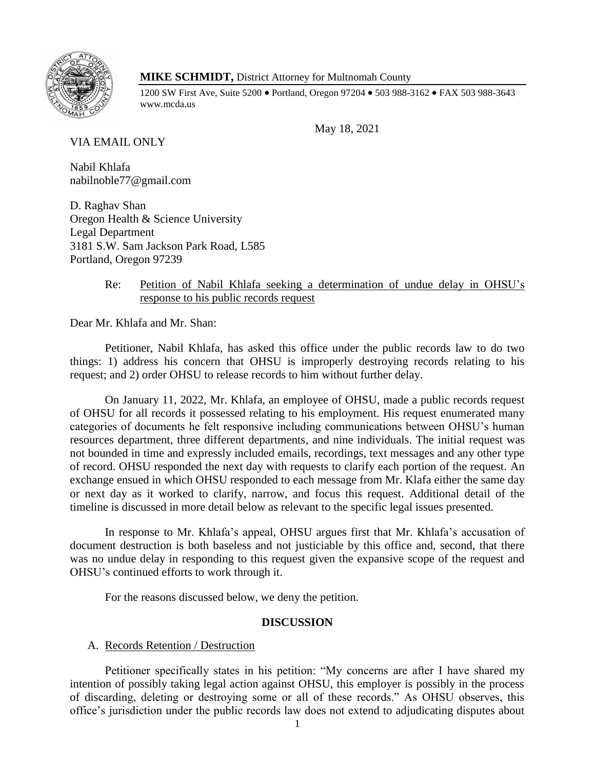

# **MIKE SCHMIDT,** District Attorney for Multnomah County

1200 SW First Ave, Suite 5200 • Portland, Oregon 97204 • 503 988-3162 • FAX 503 988-3643 www.mcda.us

May 18, 2021

VIA EMAIL ONLY

Nabil Khlafa nabilnoble77@gmail.com

D. Raghav Shan Oregon Health & Science University Legal Department 3181 S.W. Sam Jackson Park Road, L585 Portland, Oregon 97239

# Re: Petition of Nabil Khlafa seeking a determination of undue delay in OHSU's response to his public records request

Dear Mr. Khlafa and Mr. Shan:

Petitioner, Nabil Khlafa, has asked this office under the public records law to do two things: 1) address his concern that OHSU is improperly destroying records relating to his request; and 2) order OHSU to release records to him without further delay.

On January 11, 2022, Mr. Khlafa, an employee of OHSU, made a public records request of OHSU for all records it possessed relating to his employment. His request enumerated many categories of documents he felt responsive including communications between OHSU's human resources department, three different departments, and nine individuals. The initial request was not bounded in time and expressly included emails, recordings, text messages and any other type of record. OHSU responded the next day with requests to clarify each portion of the request. An exchange ensued in which OHSU responded to each message from Mr. Klafa either the same day or next day as it worked to clarify, narrow, and focus this request. Additional detail of the timeline is discussed in more detail below as relevant to the specific legal issues presented.

In response to Mr. Khlafa's appeal, OHSU argues first that Mr. Khlafa's accusation of document destruction is both baseless and not justiciable by this office and, second, that there was no undue delay in responding to this request given the expansive scope of the request and OHSU's continued efforts to work through it.

For the reasons discussed below, we deny the petition.

## **DISCUSSION**

## A. Records Retention / Destruction

Petitioner specifically states in his petition: "My concerns are after I have shared my intention of possibly taking legal action against OHSU, this employer is possibly in the process of discarding, deleting or destroying some or all of these records." As OHSU observes, this office's jurisdiction under the public records law does not extend to adjudicating disputes about